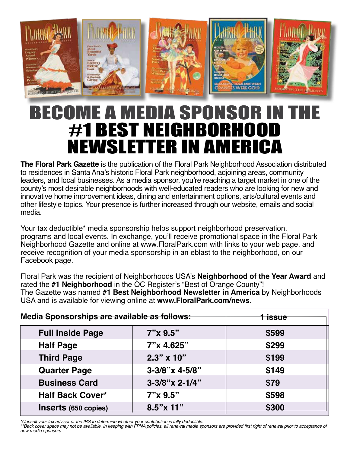

## BECOME A MEDIA SPONSOR IN T #1 Best neighborhood Newsletter in America

**The Floral Park Gazette** is the publication of the Floral Park Neighborhood Association distributed to residences in Santa Ana's historic Floral Park neighborhood, adjoining areas, community leaders, and local businesses. As a media sponsor, you're reaching a target market in one of the county's most desirable neighborhoods with well-educated readers who are looking for new and innovative home improvement ideas, dining and entertainment options, arts/cultural events and other lifestyle topics. Your presence is further increased through our website, emails and social media.

Your tax deductible\* media sponsorship helps support neighborhood preservation, programs and local events. In exchange, you'll receive promotional space in the Floral Park Neighborhood Gazette and online at www.FloralPark.com with links to your web page, and receive recognition of your media sponsorship in an eblast to the neighborhood, on our Facebook page.

Floral Park was the recipient of Neighborhoods USA's **Neighborhood of the Year Award** and rated the **#1 Neighborhood** in the OC Register's "Best of Orange County"! The Gazette was named **#1 Best Neighborhood Newsletter in America** by Neighborhoods USA and is available for viewing online at **www.FloralPark.com/news**.

| Media Sponsorships are available as follows: |                   | Hissue |
|----------------------------------------------|-------------------|--------|
| <b>Full Inside Page</b>                      | 7"x 9.5"          | \$599  |
| <b>Half Page</b>                             | 7"x 4.625"        | \$299  |
| <b>Third Page</b>                            | $2.3" \times 10"$ | \$199  |
| <b>Quarter Page</b>                          | $3-3/8$ "x 4-5/8" | \$149  |
| <b>Business Card</b>                         | $3-3/8$ "x 2-1/4" | \$79   |
| <b>Half Back Cover*</b>                      | $7''$ x $9.5''$   | \$598  |
| Inserts (650 copies)                         | $8.5''$ x 11"     | \$300  |

*\*Consult your tax advisor or the IRS to determine whether your contribution is fully deductible.* 

\*\*Back cover space may not be available. In keeping with FPNA policies, all renewal media sponsors are provided first right of renewal prior to acceptance of *new media sponsors*